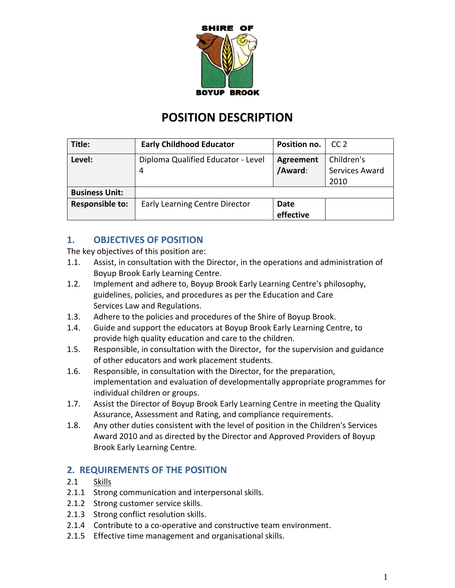

# **POSITION DESCRIPTION**

| Title:                 | <b>Early Childhood Educator</b>         | Position no.                | CC <sub>2</sub>                      |
|------------------------|-----------------------------------------|-----------------------------|--------------------------------------|
| Level:                 | Diploma Qualified Educator - Level<br>4 | <b>Agreement</b><br>/Award: | Children's<br>Services Award<br>2010 |
| <b>Business Unit:</b>  |                                         |                             |                                      |
| <b>Responsible to:</b> | <b>Early Learning Centre Director</b>   | Date<br>effective           |                                      |

### **1. OBJECTIVES OF POSITION**

The key objectives of this position are:

- 1.1. Assist, in consultation with the Director, in the operations and administration of Boyup Brook Early Learning Centre.
- 1.2. Implement and adhere to, Boyup Brook Early Learning Centre's philosophy, guidelines, policies, and procedures as per the Education and Care Services Law and Regulations.
- 1.3. Adhere to the policies and procedures of the Shire of Boyup Brook.
- 1.4. Guide and support the educators at Boyup Brook Early Learning Centre, to provide high quality education and care to the children.
- 1.5. Responsible, in consultation with the Director, for the supervision and guidance of other educators and work placement students.
- 1.6. Responsible, in consultation with the Director, for the preparation, implementation and evaluation of developmentally appropriate programmes for individual children or groups.
- 1.7. Assist the Director of Boyup Brook Early Learning Centre in meeting the Quality Assurance, Assessment and Rating, and compliance requirements.
- 1.8. Any other duties consistent with the level of position in the Children's Services Award 2010 and as directed by the Director and Approved Providers of Boyup Brook Early Learning Centre.

### **2. REQUIREMENTS OF THE POSITION**

- 2.1 Skills
- 2.1.1 Strong communication and interpersonal skills.
- 2.1.2 Strong customer service skills.
- 2.1.3 Strong conflict resolution skills.
- 2.1.4 Contribute to a co-operative and constructive team environment.
- 2.1.5 Effective time management and organisational skills.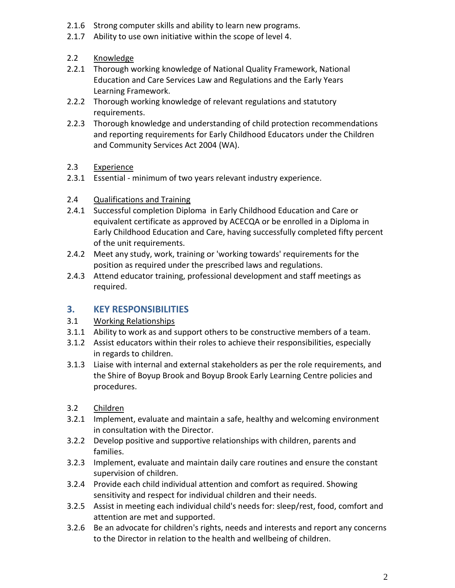- 2.1.6 Strong computer skills and ability to learn new programs.
- 2.1.7 Ability to use own initiative within the scope of level 4.
- 2.2 Knowledge
- 2.2.1 Thorough working knowledge of National Quality Framework, National Education and Care Services Law and Regulations and the Early Years Learning Framework.
- 2.2.2 Thorough working knowledge of relevant regulations and statutory requirements.
- 2.2.3 Thorough knowledge and understanding of child protection recommendations and reporting requirements for Early Childhood Educators under the Children and Community Services Act 2004 (WA).
- 2.3 Experience
- 2.3.1 Essential minimum of two years relevant industry experience.
- 2.4 Qualifications and Training
- 2.4.1 Successful completion Diploma in Early Childhood Education and Care or equivalent certificate as approved by ACECQA or be enrolled in a Diploma in Early Childhood Education and Care, having successfully completed fifty percent of the unit requirements.
- 2.4.2 Meet any study, work, training or 'working towards' requirements for the position as required under the prescribed laws and regulations.
- 2.4.3 Attend educator training, professional development and staff meetings as required.

### **3. KEY RESPONSIBILITIES**

- 3.1 Working Relationships
- 3.1.1 Ability to work as and support others to be constructive members of a team.
- 3.1.2 Assist educators within their roles to achieve their responsibilities, especially in regards to children.
- 3.1.3 Liaise with internal and external stakeholders as per the role requirements, and the Shire of Boyup Brook and Boyup Brook Early Learning Centre policies and procedures.
- 3.2 Children
- 3.2.1 Implement, evaluate and maintain a safe, healthy and welcoming environment in consultation with the Director.
- 3.2.2 Develop positive and supportive relationships with children, parents and families.
- 3.2.3 Implement, evaluate and maintain daily care routines and ensure the constant supervision of children.
- 3.2.4 Provide each child individual attention and comfort as required. Showing sensitivity and respect for individual children and their needs.
- 3.2.5 Assist in meeting each individual child's needs for: sleep/rest, food, comfort and attention are met and supported.
- 3.2.6 Be an advocate for children's rights, needs and interests and report any concerns to the Director in relation to the health and wellbeing of children.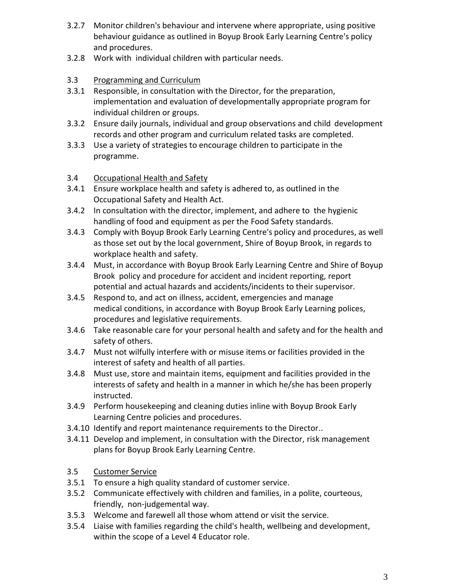- 3.2.7 Monitor children's behaviour and intervene where appropriate, using positive behaviour guidance as outlined in Boyup Brook Early Learning Centre's policy and procedures.
- 3.2.8 Work with individual children with particular needs.
- 3.3 Programming and Curriculum
- 3.3.1 Responsible, in consultation with the Director, for the preparation, implementation and evaluation of developmentally appropriate program for individual children or groups.
- 3.3.2 Ensure daily journals, individual and group observations and child development records and other program and curriculum related tasks are completed.
- 3.3.3 Use a variety of strategies to encourage children to participate in the programme.
- 3.4 Occupational Health and Safety
- 3.4.1 Ensure workplace health and safety is adhered to, as outlined in the Occupational Safety and Health Act.
- 3.4.2 In consultation with the director, implement, and adhere to the hygienic handling of food and equipment as per the Food Safety standards.
- 3.4.3 Comply with Boyup Brook Early Learning Centre's policy and procedures, as well as those set out by the local government, Shire of Boyup Brook, in regards to workplace health and safety.
- 3.4.4 Must, in accordance with Boyup Brook Early Learning Centre and Shire of Boyup Brook policy and procedure for accident and incident reporting, report potential and actual hazards and accidents/incidents to their supervisor.
- 3.4.5 Respond to, and act on illness, accident, emergencies and manage medical conditions, in accordance with Boyup Brook Early Learning polices, procedures and legislative requirements.
- 3.4.6 Take reasonable care for your personal health and safety and for the health and safety of others.
- 3.4.7 Must not wilfully interfere with or misuse items or facilities provided in the interest of safety and health of all parties.
- 3.4.8 Must use, store and maintain items, equipment and facilities provided in the interests of safety and health in a manner in which he/she has been properly instructed.
- 3.4.9 Perform housekeeping and cleaning duties inline with Boyup Brook Early Learning Centre policies and procedures.
- 3.4.10 Identify and report maintenance requirements to the Director..
- 3.4.11 Develop and implement, in consultation with the Director, risk management plans for Boyup Brook Early Learning Centre.
- 3.5 Customer Service
- 3.5.1 To ensure a high quality standard of customer service.
- 3.5.2 Communicate effectively with children and families, in a polite, courteous, friendly, non-judgemental way.
- 3.5.3 Welcome and farewell all those whom attend or visit the service.
- 3.5.4 Liaise with families regarding the child's health, wellbeing and development, within the scope of a Level 4 Educator role.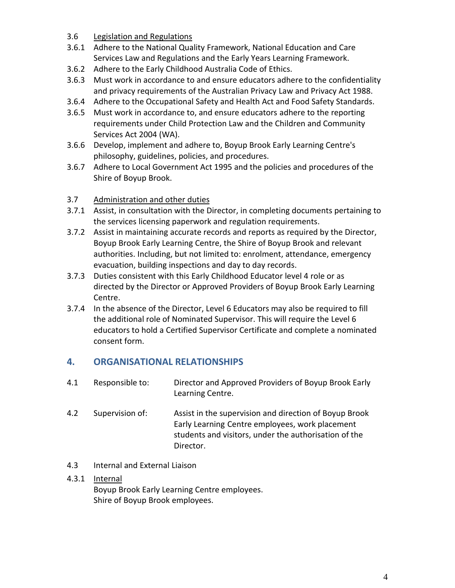- 3.6 Legislation and Regulations
- 3.6.1 Adhere to the National Quality Framework, National Education and Care Services Law and Regulations and the Early Years Learning Framework.
- 3.6.2 Adhere to the Early Childhood Australia Code of Ethics.
- 3.6.3 Must work in accordance to and ensure educators adhere to the confidentiality and privacy requirements of the Australian Privacy Law and Privacy Act 1988.
- 3.6.4 Adhere to the Occupational Safety and Health Act and Food Safety Standards.
- 3.6.5 Must work in accordance to, and ensure educators adhere to the reporting requirements under Child Protection Law and the Children and Community Services Act 2004 (WA).
- 3.6.6 Develop, implement and adhere to, Boyup Brook Early Learning Centre's philosophy, guidelines, policies, and procedures.
- 3.6.7 Adhere to Local Government Act 1995 and the policies and procedures of the Shire of Boyup Brook.
- 3.7 Administration and other duties
- 3.7.1 Assist, in consultation with the Director, in completing documents pertaining to the services licensing paperwork and regulation requirements.
- 3.7.2 Assist in maintaining accurate records and reports as required by the Director, Boyup Brook Early Learning Centre, the Shire of Boyup Brook and relevant authorities. Including, but not limited to: enrolment, attendance, emergency evacuation, building inspections and day to day records.
- 3.7.3 Duties consistent with this Early Childhood Educator level 4 role or as directed by the Director or Approved Providers of Boyup Brook Early Learning Centre.
- 3.7.4 In the absence of the Director, Level 6 Educators may also be required to fill the additional role of Nominated Supervisor. This will require the Level 6 educators to hold a Certified Supervisor Certificate and complete a nominated consent form.

### **4. ORGANISATIONAL RELATIONSHIPS**

- 4.1 Responsible to: Director and Approved Providers of Boyup Brook Early Learning Centre.
- 4.2 Supervision of: Assist in the supervision and direction of Boyup Brook Early Learning Centre employees, work placement students and visitors, under the authorisation of the Director.
- 4.3 Internal and External Liaison

#### 4.3.1 Internal

Boyup Brook Early Learning Centre employees. Shire of Boyup Brook employees.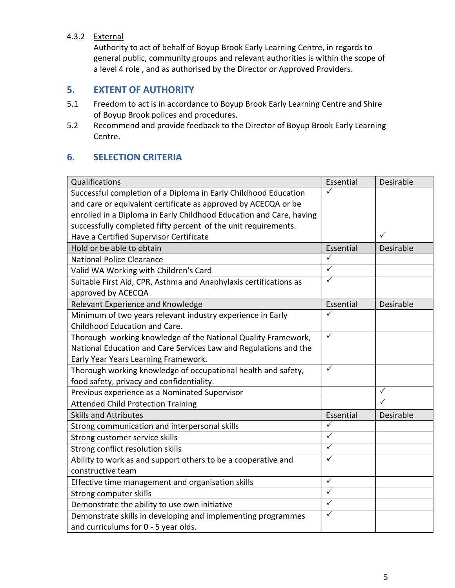#### 4.3.2 External

Authority to act of behalf of Boyup Brook Early Learning Centre, in regards to general public, community groups and relevant authorities is within the scope of a level 4 role , and as authorised by the Director or Approved Providers.

### **5. EXTENT OF AUTHORITY**

- 5.1 Freedom to act is in accordance to Boyup Brook Early Learning Centre and Shire of Boyup Brook polices and procedures.
- 5.2 Recommend and provide feedback to the Director of Boyup Brook Early Learning Centre.

# **6. SELECTION CRITERIA**

| Qualifications                                                      | Essential               | Desirable    |
|---------------------------------------------------------------------|-------------------------|--------------|
| Successful completion of a Diploma in Early Childhood Education     | ✓                       |              |
| and care or equivalent certificate as approved by ACECQA or be      |                         |              |
| enrolled in a Diploma in Early Childhood Education and Care, having |                         |              |
| successfully completed fifty percent of the unit requirements.      |                         |              |
| Have a Certified Supervisor Certificate                             |                         | ✓            |
| Hold or be able to obtain                                           | Essential               | Desirable    |
| <b>National Police Clearance</b>                                    | ✓                       |              |
| Valid WA Working with Children's Card                               | $\checkmark$            |              |
| Suitable First Aid, CPR, Asthma and Anaphylaxis certifications as   | $\checkmark$            |              |
| approved by ACECQA                                                  |                         |              |
| Relevant Experience and Knowledge                                   | Essential               | Desirable    |
| Minimum of two years relevant industry experience in Early          | ✓                       |              |
| Childhood Education and Care.                                       |                         |              |
| Thorough working knowledge of the National Quality Framework,       | $\checkmark$            |              |
| National Education and Care Services Law and Regulations and the    |                         |              |
| Early Year Years Learning Framework.                                |                         |              |
| Thorough working knowledge of occupational health and safety,       | $\checkmark$            |              |
| food safety, privacy and confidentiality.                           |                         |              |
| Previous experience as a Nominated Supervisor                       |                         | $\checkmark$ |
| <b>Attended Child Protection Training</b>                           |                         | $\checkmark$ |
| <b>Skills and Attributes</b>                                        | Essential               | Desirable    |
| Strong communication and interpersonal skills                       | $\sqrt{}$               |              |
| Strong customer service skills                                      | ✓                       |              |
| Strong conflict resolution skills                                   | $\overline{\checkmark}$ |              |
| Ability to work as and support others to be a cooperative and       | ✓                       |              |
| constructive team                                                   |                         |              |
| Effective time management and organisation skills                   | $\checkmark$            |              |
| Strong computer skills                                              | $\checkmark$            |              |
| Demonstrate the ability to use own initiative                       | ✓                       |              |
| Demonstrate skills in developing and implementing programmes        | $\checkmark$            |              |
| and curriculums for 0 - 5 year olds.                                |                         |              |